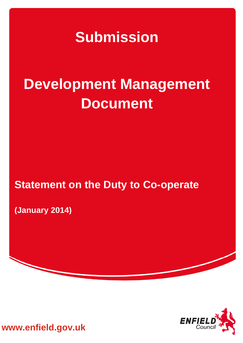**Submission** 

# **Development Management Document**

## **Statement on the Duty to Co-operate**

**(January 2014)**



**www.enfield.gov.uk**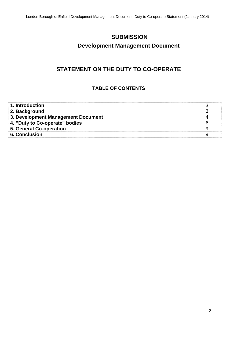## **SUBMISSION**

## **Development Management Document**

## **STATEMENT ON THE DUTY TO CO-OPERATE**

## **TABLE OF CONTENTS**

| 1. Introduction                    |  |
|------------------------------------|--|
| 2. Background                      |  |
| 3. Development Management Document |  |
| . "Duty to Co-operate" bodies      |  |
| 5. General Co-operation            |  |
| 6. Conclusion                      |  |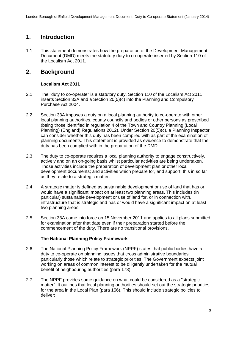## **1. Introduction**

1.1 This statement demonstrates how the preparation of the Development Management Document (DMD) meets the statutory duty to co-operate inserted by Section 110 of the Localism Act 2011.

## **2. Background**

#### **Localism Act 2011**

- 2.1 The "duty to co-operate" is a statutory duty. Section 110 of the Localism Act 2011 inserts Section 33A and a Section 20(5)(c) into the Planning and Compulsory Purchase Act 2004.
- 2.2 Section 33A imposes a duty on a local planning authority to co-operate with other local planning authorities, county councils and bodies or other persons as prescribed (being those identified in regulation 4 of the Town and Country Planning (Local Planning) (England) Regulations 2012). Under Section 20(5)(c), a Planning Inspector can consider whether this duty has been complied with as part of the examination of planning documents. This statement is provided as evidence to demonstrate that the duty has been complied with in the preparation of the DMD.
- 2.3 The duty to co-operate requires a local planning authority to engage constructively, actively and on an on-going basis whilst particular activities are being undertaken. Those activities include the preparation of development plan or other local development documents; and activities which prepare for, and support, this in so far as they relate to a strategic matter.
- 2.4 A strategic matter is defined as sustainable development or use of land that has or would have a significant impact on at least two planning areas. This includes (in particular) sustainable development or use of land for, or in connection with, infrastructure that is strategic and has or would have a significant impact on at least two planning areas.
- 2.5 Section 33A came into force on 15 November 2011 and applies to all plans submitted for examination after that date even if their preparation started before the commencement of the duty. There are no transitional provisions.

#### **The National Planning Policy Framework**

- 2.6 The National Planning Policy Framework (NPPF) states that public bodies have a duty to co-operate on planning issues that cross administrative boundaries, particularly those which relate to strategic priorities. The Government expects joint working on areas of common interest to be diligently undertaken for the mutual benefit of neighbouring authorities (para 178).
- 2.7 The NPPF provides some guidance on what could be considered as a "strategic matter". It outlines that local planning authorities should set out the strategic priorities for the area in the Local Plan (para 156). This should include strategic policies to deliver: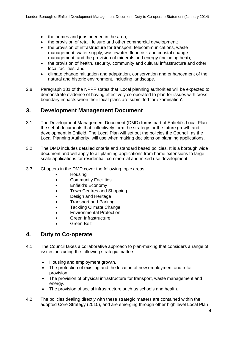- the homes and jobs needed in the area;
- the provision of retail, leisure and other commercial development;
- the provision of infrastructure for transport, telecommunications, waste management, water supply, wastewater, flood risk and coastal change management, and the provision of minerals and energy (including heat);
- the provision of health, security, community and cultural infrastructure and other local facilities; and
- climate change mitigation and adaptation, conservation and enhancement of the natural and historic environment, including landscape.
- 2.8 Paragraph 181 of the NPPF states that 'Local planning authorities will be expected to demonstrate evidence of having effectively co-operated to plan for issues with crossboundary impacts when their local plans are submitted for examination'.

#### **3. Development Management Document**

- 3.1 The Development Management Document (DMD) forms part of Enfield's Local Plan the set of documents that collectively form the strategy for the future growth and development in Enfield. The Local Plan will set out the policies the Council, as the Local Planning Authority, will use when making decisions on planning applications.
- 3.2 The DMD includes detailed criteria and standard based policies. It is a borough wide document and will apply to all planning applications from home extensions to large scale applications for residential, commercial and mixed use development.
- 3.3 Chapters in the DMD cover the following topic areas:
	- Housing
	- Community Facilities
	- Enfield's Economy
	- Town Centres and Shopping
	- Design and Heritage
	- Transport and Parking
	- Tackling Climate Change
	- Environmental Protection
	- Green Infrastructure
	- Green Belt

#### **4. Duty to Co-operate**

- 4.1 The Council takes a collaborative approach to plan-making that considers a range of issues, including the following strategic matters:
	- Housing and employment growth.
	- The protection of existing and the location of new employment and retail provision.
	- The provision of physical infrastructure for transport, waste management and energy.
	- The provision of social infrastructure such as schools and health.
- 4.2 The policies dealing directly with these strategic matters are contained within the adopted Core Strategy (2010), and are emerging through other high level Local Plan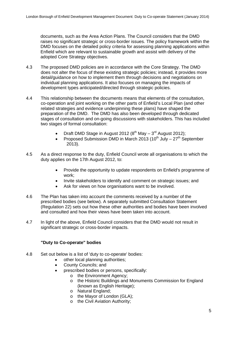documents, such as the Area Action Plans. The Council considers that the DMD raises no significant strategic or cross-border issues. The policy framework within the DMD focuses on the detailed policy criteria for assessing planning applications within Enfield which are relevant to sustainable growth and assist with delivery of the adopted Core Strategy objectives.

- 4.3 The proposed DMD policies are in accordance with the Core Strategy. The DMD does not alter the focus of these existing strategic policies; instead, it provides more detail/guidance on how to implement them through decisions and negotiations on individual planning applications. It also focuses on managing the impacts of development types anticipated/directed through strategic policies.
- 4.4 This relationship between the documents means that elements of the consultation, co-operation and joint working on the other parts of Enfield's Local Plan (and other related strategies and evidence underpinning these plans) have shaped the preparation of the DMD. The DMD has also been developed through dedicated stages of consultation and on-going discussions with stakeholders. This has included two stages of formal consultation:
	- Draft DMD Stage in August 2012 ( $8<sup>th</sup>$  May  $-3<sup>rd</sup>$  August 2012);
	- Proposed Submission DMD in March 2013 (10<sup>th</sup> July  $27<sup>th</sup>$  September 2013).
- 4.5 As a direct response to the duty, Enfield Council wrote all organisations to which the duty applies on the 17th August 2012, to:
	- Provide the opportunity to update respondents on Enfield's programme of work;
	- Invite stakeholders to identify and comment on strategic issues; and
	- Ask for views on how organisations want to be involved.
- 4.6 The Plan has taken into account the comments received by a number of the prescribed bodies (see below). A separately submitted Consultation Statement (Regulation 22) sets out how these other authorities and bodies have been involved and consulted and how their views have been taken into account.
- 4.7 In light of the above, Enfield Council considers that the DMD would not result in significant strategic or cross-border impacts.

#### **"Duty to Co-operate" bodies**

- 4.8 Set out below is a list of 'duty to co-operate' bodies:
	- other local planning authorities;
	- County Councils; and
		- prescribed bodies or persons, specifically:
			- o the Environment Agency;
				- o the Historic Buildings and Monuments Commission for England (known as English Heritage);
				- o Natural England;
				- o the Mayor of London (GLA);
				- o the Civil Aviation Authority;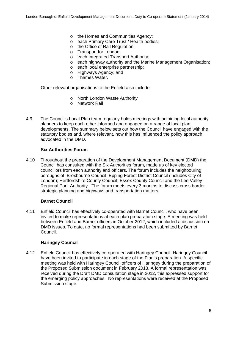- o the Homes and Communities Agency;
- o each Primary Care Trust / Health bodies;
- o the Office of Rail Regulation;
- o Transport for London;
- o each Integrated Transport Authority;
- o each highway authority and the Marine Management Organisation;
- o each local enterprise partnership;
- o Highways Agency; and
- o Thames Water.

Other relevant organisations to the Enfield also include:

- o North London Waste Authority
- o Network Rail
- 4.9 The Council's Local Plan team regularly holds meetings with adjoining local authority planners to keep each other informed and engaged on a range of local plan developments. The summary below sets out how the Council have engaged with the statutory bodies and, where relevant, how this has influenced the policy approach advocated in the DMD.

#### **Six Authorities Forum**

4.10 Throughout the preparation of the Development Management Document (DMD) the Council has consulted with the Six Authorities forum, made up of key elected councillors from each authority and officers. The forum includes the neighbouring boroughs of: Broxbourne Council; Epping Forest District Council (includes City of London); Hertfordshire County Council; Essex County Council and the Lee Valley Regional Park Authority. The forum meets every 3 months to discuss cross border strategic planning and highways and transportation matters.

#### **Barnet Council**

4.11 Enfield Council has effectively co-operated with Barnet Council, who have been invited to make representations at each plan preparation stage. A meeting was held between Enfield and Barnet officers in October 2012, which included a discussion on DMD issues. To date, no formal representations had been submitted by Barnet Council.

#### **Haringey Council**

4.12 Enfield Council has effectively co-operated with Haringey Council. Haringey Council have been invited to participate in each stage of the Plan's preparation. A specific meeting was held with Haringey Council officers of Haringey during the preparation of the Proposed Submission document in February 2013. A formal representation was received during the Draft DMD consultation stage in 2012, this expressed support for the emerging policy approaches. No representations were received at the Proposed Submission stage.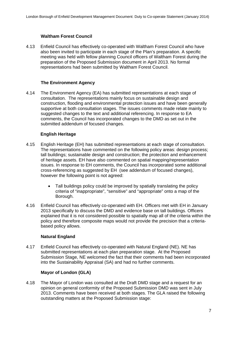#### **Waltham Forest Council**

4.13 Enfield Council has effectively co-operated with Waltham Forest Council who have also been invited to participate in each stage of the Plan's preparation. A specific meeting was held with fellow planning Council officers of Waltham Forest during the preparation of the Proposed Submission document in April 2013. No formal representations had been submitted by Waltham Forest Council.

#### **The Environment Agency**

4.14 The Environment Agency (EA) has submitted representations at each stage of consultation. The representations mainly focus on sustainable design and construction, flooding and environmental protection issues and have been generally supportive at both consultation stages. The issues comments made relate mainly to suggested changes to the text and additional referencing. In response to EA comments, the Council has incorporated changes to the DMD as set out in the submitted addendum of focused changes.

#### **English Heritage**

- 4.15 English Heritage (EH) has submitted representations at each stage of consultation. The representations have commented on the following policy areas: design process: tall buildings; sustainable design and construction; the protection and enhancement of heritage assets. EH have also commented on spatial mapping/representation issues. In response to EH comments, the Council has incorporated some additional cross-referencing as suggested by EH (see addendum of focused changes), however the following point is not agreed:
	- Tall buildings policy could be improved by spatially translating the policy criteria of "inappropriate", "sensitive" and "appropriate" onto a map of the Borough.
- 4.16 Enfield Council has effectively co-operated with EH. Officers met with EH in January 2013 specifically to discuss the DMD and evidence base on tall buildings. Officers explained that it is not considered possible to spatially map all of the criteria within the policy and therefore composite maps would not provide the precision that a criteriabased policy allows.

#### **Natural England**

4.17 Enfield Council has effectively co-operated with Natural England (NE). NE has submitted representations at each plan preparation stage. At the Proposed Submission Stage, NE welcomed the fact that their comments had been incorporated into the Sustainability Appraisal (SA) and had no further comments.

#### **Mayor of London (GLA)**

4.18 The Mayor of London was consulted at the Draft DMD stage and a request for an opinion on general conformity of the Proposed Submission DMD was sent in July 2013. Comments have been received at both stages. The GLA raised the following outstanding matters at the Proposed Submission stage: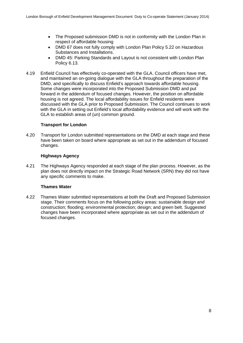- The Proposed submission DMD is not in conformity with the London Plan in respect of affordable housing
- DMD 67 does not fully comply with London Plan Policy 5.22 on Hazardous Substances and Installations.
- DMD 45: Parking Standards and Layout is not consistent with London Plan Policy 6.13.
- 4.19 Enfield Council has effectively co-operated with the GLA. Council officers have met, and maintained an on-going dialogue with the GLA throughout the preparation of the DMD, and specifically to discuss Enfield's approach towards affordable housing. Some changes were incorporated into the Proposed Submission DMD and put forward in the addendum of focused changes. However, the position on affordable housing is not agreed. The local affordability issues for Enfield residents were discussed with the GLA prior to Proposed Submission. The Council continues to work with the GLA in setting out Enfield's local affordability evidence and will work with the GLA to establish areas of (un) common ground.

#### **Transport for London**

4.20 Transport for London submitted representations on the DMD at each stage and these have been taken on board where appropriate as set out in the addendum of focused changes.

#### **Highways Agency**

4.21 The Highways Agency responded at each stage of the plan process. However, as the plan does not directly impact on the Strategic Road Network (SRN) they did not have any specific comments to make.

#### **Thames Water**

4.22 Thames Water submitted representations at both the Draft and Proposed Submission stage. Their comments focus on the following policy areas: sustainable design and construction; flooding; environmental protection; design; and green belt. Suggested changes have been incorporated where appropriate as set out in the addendum of focused changes.